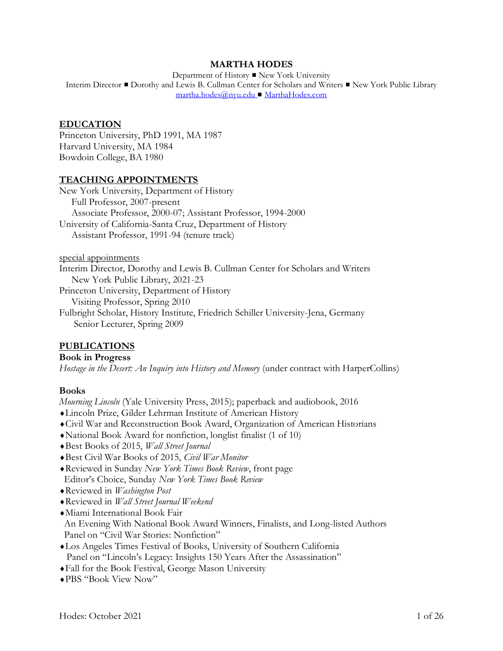## **MARTHA HODES**

Department of History  $\blacksquare$  New York University

Interim Director  $\blacksquare$  Dorothy and Lewis B. Cullman Center for Scholars and Writers  $\blacksquare$  New York Public Library [martha.hodes@nyu.edu](mailto:martha.hodes@nyu.edu) [MarthaHodes.com](http://marthahodes.com/)

## **EDUCATION**

Princeton University, PhD 1991, MA 1987 Harvard University, MA 1984 Bowdoin College, BA 1980

## **TEACHING APPOINTMENTS**

New York University, Department of History Full Professor, 2007-present Associate Professor, 2000-07; Assistant Professor, 1994-2000 University of California-Santa Cruz, Department of History Assistant Professor, 1991-94 (tenure track)

special appointments

Interim Director, Dorothy and Lewis B. Cullman Center for Scholars and Writers New York Public Library, 2021-23 Princeton University, Department of History

Visiting Professor, Spring 2010

Fulbright Scholar, History Institute, Friedrich Schiller University-Jena, Germany Senior Lecturer, Spring 2009

# **PUBLICATIONS**

### **Book in Progress**

*Hostage in the Desert: An Inquiry into History and Memory* (under contract with HarperCollins)

### **Books**

*Mourning Lincoln* (Yale University Press, 2015); paperback and audiobook, 2016

Lincoln Prize, Gilder Lehrman Institute of American History

- Civil War and Reconstruction Book Award, Organization of American Historians
- National Book Award for nonfiction, longlist finalist (1 of 10)
- Best Books of 2015, *Wall Street Journal*
- Best Civil War Books of 2015, *Civil War Monitor*
- Reviewed in Sunday *New York Times Book Review*, front page Editor's Choice, Sunday *New York Times Book Review*
- Reviewed in *Washington Post*
- Reviewed in *Wall Street Journal Weekend*
- Miami International Book Fair

 An Evening With National Book Award Winners, Finalists, and Long-listed Authors Panel on "Civil War Stories: Nonfiction"

- Los Angeles Times Festival of Books, University of Southern California Panel on "Lincoln's Legacy: Insights 150 Years After the Assassination"
- Fall for the Book Festival, George Mason University
- PBS "Book View Now"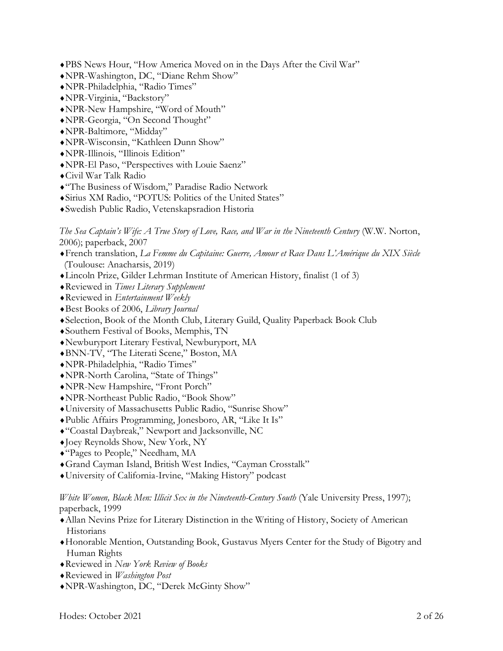- PBS News Hour, "How America Moved on in the Days After the Civil War"
- NPR-Washington, DC, "Diane Rehm Show"
- NPR-Philadelphia, "Radio Times"
- NPR-Virginia, "Backstory"
- NPR-New Hampshire, "Word of Mouth"
- NPR-Georgia, "On Second Thought"
- NPR-Baltimore, "Midday"
- NPR-Wisconsin, "Kathleen Dunn Show"
- NPR-Illinois, "Illinois Edition"
- NPR-El Paso, "Perspectives with Louie Saenz"
- Civil War Talk Radio
- "The Business of Wisdom," Paradise Radio Network
- Sirius XM Radio, "POTUS: Politics of the United States"
- Swedish Public Radio, Vetenskapsradion Historia

*The Sea Captain's Wife: A True Story of Love, Race, and War in the Nineteenth Century* (W.W. Norton, 2006); paperback, 2007

- French translation, *La Femme du Capitaine: Guerre, Amour et Race Dans L'Amérique du XIX Siècle* (Toulouse: Anacharsis, 2019)
- Lincoln Prize, Gilder Lehrman Institute of American History, finalist (1 of 3)
- Reviewed in *Times Literary Supplement*
- Reviewed in *Entertainment Weekly*
- Best Books of 2006, *Library Journal*
- Selection, Book of the Month Club, Literary Guild, Quality Paperback Book Club
- Southern Festival of Books, Memphis, TN
- Newburyport Literary Festival, Newburyport, MA
- BNN-TV, "The Literati Scene," Boston, MA
- NPR-Philadelphia, "Radio Times"
- NPR-North Carolina, "State of Things"
- NPR-New Hampshire, "Front Porch"
- NPR-Northeast Public Radio, "Book Show"
- University of Massachusetts Public Radio, "Sunrise Show"
- Public Affairs Programming, Jonesboro, AR, "Like It Is"
- "Coastal Daybreak," Newport and Jacksonville, NC
- Joey Reynolds Show, New York, NY
- "Pages to People," Needham, MA
- Grand Cayman Island, British West Indies, "Cayman Crosstalk"
- University of California-Irvine, "Making History" podcast

*White Women, Black Men: Illicit Sex in the Nineteenth-Century South* (Yale University Press, 1997); paperback, 1999

- Allan Nevins Prize for Literary Distinction in the Writing of History, Society of American **Historians**
- Honorable Mention, Outstanding Book, Gustavus Myers Center for the Study of Bigotry and Human Rights
- Reviewed in *New York Review of Books*
- Reviewed in *Washington Post*
- NPR-Washington, DC, "Derek McGinty Show"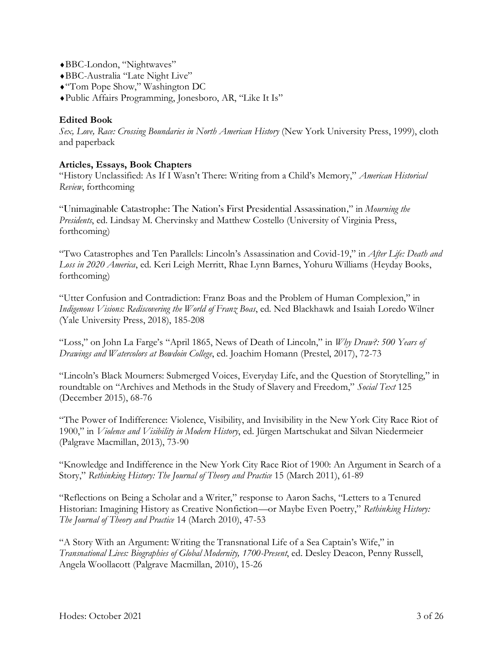- BBC-London, "Nightwaves"
- BBC-Australia "Late Night Live"
- "Tom Pope Show," Washington DC
- Public Affairs Programming, Jonesboro, AR, "Like It Is"

## **Edited Book**

*Sex, Love, Race: Crossing Boundaries in North American History* (New York University Press, 1999), cloth and paperback

## **Articles, Essays, Book Chapters**

"History Unclassified: As If I Wasn't There: Writing from a Child's Memory," *American Historical Review*, forthcoming

"Unimaginable Catastrophe: The Nation's First Presidential Assassination," in *Mourning the Presidents*, ed. Lindsay M. Chervinsky and Matthew Costello (University of Virginia Press, forthcoming)

"Two Catastrophes and Ten Parallels: Lincoln's Assassination and Covid-19," in *After Life: Death and Loss in 2020 America*, ed. Keri Leigh Merritt, Rhae Lynn Barnes, Yohuru Williams (Heyday Books, forthcoming)

"Utter Confusion and Contradiction: Franz Boas and the Problem of Human Complexion," in *Indigenous Visions: Rediscovering the World of Franz Boas*, ed. Ned Blackhawk and Isaiah Loredo Wilner (Yale University Press, 2018), 185-208

"Loss," on John La Farge's "April 1865, News of Death of Lincoln," in *Why Draw?: 500 Years of Drawings and Watercolors at Bowdoin College*, ed. Joachim Homann (Prestel, 2017), 72-73

"Lincoln's Black Mourners: Submerged Voices, Everyday Life, and the Question of Storytelling," in roundtable on "Archives and Methods in the Study of Slavery and Freedom," *Social Text* 125 (December 2015), 68-76

"The Power of Indifference: Violence, Visibility, and Invisibility in the New York City Race Riot of 1900," in *Violence and Visibility in Modern History*, ed. Jürgen Martschukat and Silvan Niedermeier (Palgrave Macmillan, 2013), 73-90

"Knowledge and Indifference in the New York City Race Riot of 1900: An Argument in Search of a Story," *Rethinking History: The Journal of Theory and Practice* 15 (March 2011), 61-89

"Reflections on Being a Scholar and a Writer," response to Aaron Sachs, "Letters to a Tenured Historian: Imagining History as Creative Nonfiction—or Maybe Even Poetry," *Rethinking History: The Journal of Theory and Practice* 14 (March 2010), 47-53

"A Story With an Argument: Writing the Transnational Life of a Sea Captain's Wife," in *Transnational Lives: Biographies of Global Modernity, 1700-Present*, ed. Desley Deacon, Penny Russell, Angela Woollacott (Palgrave Macmillan, 2010), 15-26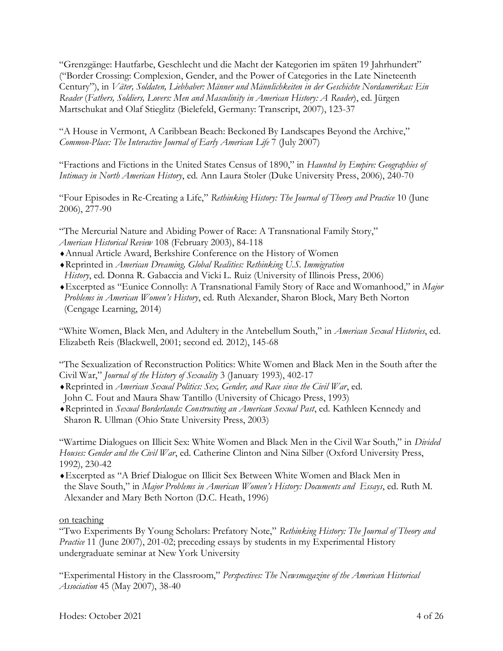"Grenzgänge: Hautfarbe, Geschlecht und die Macht der Kategorien im späten 19 Jahrhundert" ("Border Crossing: Complexion, Gender, and the Power of Categories in the Late Nineteenth Century"), in *Väter, Soldaten, Liebhaber: Männer und Männlichkeiten in der Geschichte Nordamerikas: Ein Reader* (*Fathers, Soldiers, Lovers: Men and Masculinity in American History: A Reader*), ed. Jürgen Martschukat and Olaf Stieglitz (Bielefeld, Germany: Transcript, 2007), 123-37

"A House in Vermont, A Caribbean Beach: Beckoned By Landscapes Beyond the Archive," *Common-Place: The Interactive Journal of Early American Life* 7 (July 2007)

"Fractions and Fictions in the United States Census of 1890," in *Haunted by Empire: Geographies of Intimacy in North American History*, ed. Ann Laura Stoler (Duke University Press, 2006), 240-70

"Four Episodes in Re-Creating a Life," *Rethinking History: The Journal of Theory and Practice* 10 (June 2006), 277-90

"The Mercurial Nature and Abiding Power of Race: A Transnational Family Story," *American Historical Review* 108 (February 2003), 84-118

- Annual Article Award, Berkshire Conference on the History of Women
- Reprinted in *American Dreaming, Global Realities: Rethinking U.S. Immigration*
- *History*, ed. Donna R. Gabaccia and Vicki L. Ruiz (University of Illinois Press, 2006)
- Excerpted as "Eunice Connolly: A Transnational Family Story of Race and Womanhood," in *Major Problems in American Women's History*, ed. Ruth Alexander, Sharon Block, Mary Beth Norton (Cengage Learning, 2014)

"White Women, Black Men, and Adultery in the Antebellum South," in *American Sexual Histories*, ed. Elizabeth Reis (Blackwell, 2001; second ed. 2012), 145-68

"The Sexualization of Reconstruction Politics: White Women and Black Men in the South after the Civil War," *Journal of the History of Sexuality* 3 (January 1993), 402-17

- Reprinted in *American Sexual Politics: Sex, Gender, and Race since the Civil War*, ed. John C. Fout and Maura Shaw Tantillo (University of Chicago Press, 1993)
- Reprinted in *Sexual Borderlands: Constructing an American Sexual Past*, ed. Kathleen Kennedy and Sharon R. Ullman (Ohio State University Press, 2003)

"Wartime Dialogues on Illicit Sex: White Women and Black Men in the Civil War South," in *Divided Houses: Gender and the Civil War*, ed. Catherine Clinton and Nina Silber (Oxford University Press, 1992), 230-42

Excerpted as "A Brief Dialogue on Illicit Sex Between White Women and Black Men in the Slave South," in *Major Problems in American Women's History: Documents and Essays*, ed. Ruth M. Alexander and Mary Beth Norton (D.C. Heath, 1996)

on teaching

"Two Experiments By Young Scholars: Prefatory Note," *Rethinking History: The Journal of Theory and Practice* 11 (June 2007), 201-02; preceding essays by students in my Experimental History undergraduate seminar at New York University

"Experimental History in the Classroom," *Perspectives: The Newsmagazine of the American Historical Association* 45 (May 2007), 38-40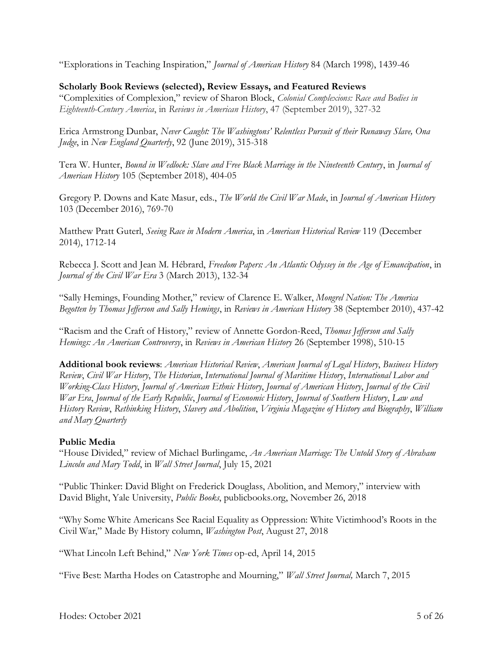"Explorations in Teaching Inspiration," *Journal of American History* 84 (March 1998), 1439-46

## **Scholarly Book Reviews (selected), Review Essays, and Featured Reviews**

"Complexities of Complexion," review of Sharon Block, *Colonial Complexions: Race and Bodies in Eighteenth-Century America*, in *Reviews in American History*, 47 (September 2019), 327-32

Erica Armstrong Dunbar, *Never Caught: The Washingtons' Relentless Pursuit of their Runaway Slave, Ona Judge*, in *New England Quarterly*, 92 (June 2019), 315-318

Tera W. Hunter, *Bound in Wedlock: Slave and Free Black Marriage in the Nineteenth Century*, in *Journal of American History* 105 (September 2018), 404-05

Gregory P. Downs and Kate Masur, eds., *The World the Civil War Made*, in *Journal of American History* 103 (December 2016), 769-70

Matthew Pratt Guterl, *Seeing Race in Modern America*, in *American Historical Review* 119 (December 2014), 1712-14

Rebecca J. Scott and Jean M. Hébrard, *Freedom Papers: An Atlantic Odyssey in the Age of Emancipation*, in *Journal of the Civil War Era* 3 (March 2013), 132-34

"Sally Hemings, Founding Mother," review of Clarence E. Walker, *Mongrel Nation: The America Begotten by Thomas Jefferson and Sally Hemings*, in *Reviews in American History* 38 (September 2010), 437-42

"Racism and the Craft of History," review of Annette Gordon-Reed, *Thomas Jefferson and Sally Hemings: An American Controversy*, in *Reviews in American History* 26 (September 1998), 510-15

**Additional book reviews**: *American Historical Review*, *American Journal of Legal History*, *Business History Review*, *Civil War History*, *The Historian*, *International Journal of Maritime History*, *International Labor and Working-Class History*, *Journal of American Ethnic History*, *Journal of American History*, *Journal of the Civil War Era*, *Journal of the Early Republic*, *Journal of Economic History*, *Journal of Southern History*, *Law and History Review*, *Rethinking History*, *Slavery and Abolition*, *Virginia Magazine of History and Biography*, *William and Mary Quarterly*

# **Public Media**

"House Divided," review of Michael Burlingame, *An American Marriage: The Untold Story of Abraham Lincoln and Mary Todd*, in *Wall Street Journal*, July 15, 2021

"Public Thinker: David Blight on Frederick Douglass, Abolition, and Memory," interview with David Blight, Yale University, *Public Books*, publicbooks.org, November 26, 2018

"Why Some White Americans See Racial Equality as Oppression: White Victimhood's Roots in the Civil War," Made By History column, *Washington Post*, August 27, 2018

"What Lincoln Left Behind," *New York Times* op-ed, April 14, 2015

"Five Best: Martha Hodes on Catastrophe and Mourning," *Wall Street Journal,* March 7, 2015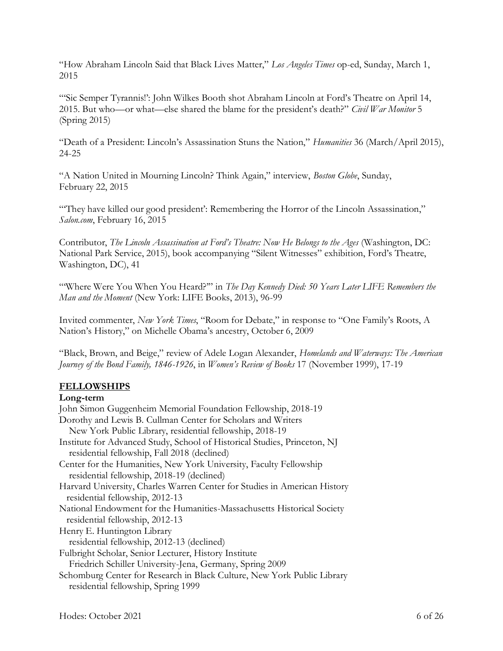"How Abraham Lincoln Said that Black Lives Matter," *Los Angeles Times* op-ed, Sunday, March 1, 2015

"'Sic Semper Tyrannis!': John Wilkes Booth shot Abraham Lincoln at Ford's Theatre on April 14, 2015. But who—or what—else shared the blame for the president's death?" *Civil War Monitor* 5 (Spring 2015)

"Death of a President: Lincoln's Assassination Stuns the Nation," *Humanities* 36 (March/April 2015), 24-25

"A Nation United in Mourning Lincoln? Think Again," interview, *Boston Globe*, Sunday, February 22, 2015

"'They have killed our good president': Remembering the Horror of the Lincoln Assassination," *Salon.com*, February 16, 2015

Contributor, *The Lincoln Assassination at Ford's Theatre: Now He Belongs to the Ages* (Washington, DC: National Park Service, 2015), book accompanying "Silent Witnesses" exhibition, Ford's Theatre, Washington, DC), 41

"'Where Were You When You Heard?'" in *The Day Kennedy Died: 50 Years Later LIFE Remembers the Man and the Moment* (New York: LIFE Books, 2013), 96-99

Invited commenter, *New York Times*, "Room for Debate," in response to "One Family's Roots, A Nation's History," on Michelle Obama's ancestry, October 6, 2009

"Black, Brown, and Beige," review of Adele Logan Alexander, *Homelands and Waterways: The American Journey of the Bond Family, 1846-1926*, in *Women's Review of Books* 17 (November 1999), 17-19

# **FELLOWSHIPS**

### **Long-term**

John Simon Guggenheim Memorial Foundation Fellowship, 2018-19 Dorothy and Lewis B. Cullman Center for Scholars and Writers New York Public Library, residential fellowship, 2018-19 Institute for Advanced Study, School of Historical Studies, Princeton, NJ residential fellowship, Fall 2018 (declined) Center for the Humanities, New York University, Faculty Fellowship residential fellowship, 2018-19 (declined) Harvard University, Charles Warren Center for Studies in American History residential fellowship, 2012-13 National Endowment for the Humanities-Massachusetts Historical Society residential fellowship, 2012-13 Henry E. Huntington Library residential fellowship, 2012-13 (declined) Fulbright Scholar, Senior Lecturer, History Institute Friedrich Schiller University-Jena, Germany, Spring 2009 Schomburg Center for Research in Black Culture, New York Public Library residential fellowship, Spring 1999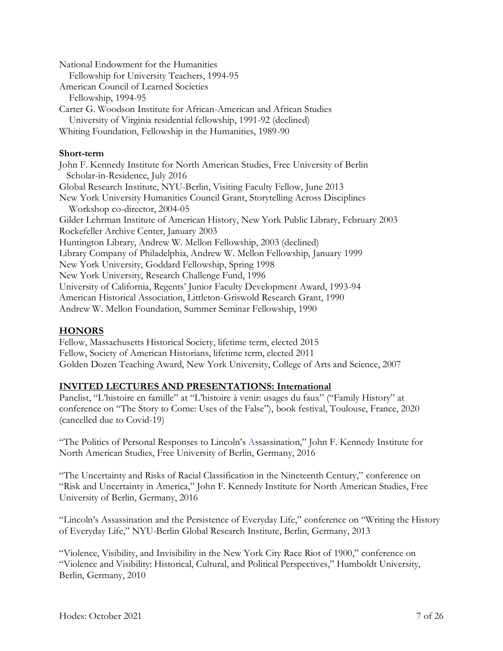National Endowment for the Humanities Fellowship for University Teachers, 1994-95 American Council of Learned Societies Fellowship, 1994-95 Carter G. Woodson Institute for African-American and African Studies University of Virginia residential fellowship, 1991-92 (declined) Whiting Foundation, Fellowship in the Humanities, 1989-90 **Short-term** John F. Kennedy Institute for North American Studies, Free University of Berlin Scholar-in-Residence, July 2016 Global Research Institute, NYU-Berlin, Visiting Faculty Fellow, June 2013 New York University Humanities Council Grant, Storytelling Across Disciplines Workshop co-director, 2004-05 Gilder Lehrman Institute of American History, New York Public Library, February 2003 Rockefeller Archive Center, January 2003 Huntington Library, Andrew W. Mellon Fellowship, 2003 (declined) Library Company of Philadelphia, Andrew W. Mellon Fellowship, January 1999 New York University, Goddard Fellowship, Spring 1998 New York University, Research Challenge Fund, 1996 University of California, Regents' Junior Faculty Development Award, 1993-94 American Historical Association, Littleton-Griswold Research Grant, 1990

Andrew W. Mellon Foundation, Summer Seminar Fellowship, 1990

# **HONORS**

Fellow, Massachusetts Historical Society, lifetime term, elected 2015 Fellow, Society of American Historians, lifetime term, elected 2011 Golden Dozen Teaching Award, New York University, College of Arts and Science, 2007

# **INVITED LECTURES AND PRESENTATIONS: International**

Panelist, "L'histoire en famille" at "L'histoire à venir: usages du faux" ("Family History" at conference on "The Story to Come: Uses of the False"), book festival, Toulouse, France, 2020 (cancelled due to Covid-19)

"The Politics of Personal Responses to Lincoln's Assassination," John F. Kennedy Institute for North American Studies, Free University of Berlin, Germany, 2016

"The Uncertainty and Risks of Racial Classification in the Nineteenth Century," conference on "Risk and Uncertainty in America," John F. Kennedy Institute for North American Studies, Free University of Berlin, Germany, 2016

"Lincoln's Assassination and the Persistence of Everyday Life," conference on "Writing the History of Everyday Life," NYU-Berlin Global Research Institute, Berlin, Germany, 2013

"Violence, Visibility, and Invisibility in the New York City Race Riot of 1900," conference on "Violence and Visibility: Historical, Cultural, and Political Perspectives," Humboldt University, Berlin, Germany, 2010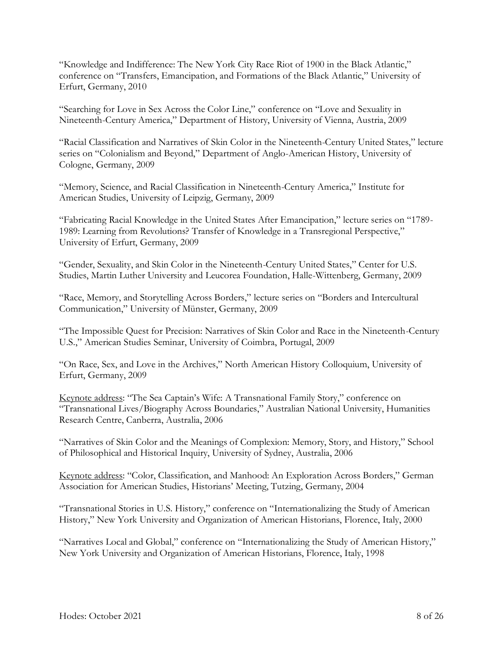"Knowledge and Indifference: The New York City Race Riot of 1900 in the Black Atlantic," conference on "Transfers, Emancipation, and Formations of the Black Atlantic," University of Erfurt, Germany, 2010

"Searching for Love in Sex Across the Color Line," conference on "Love and Sexuality in Nineteenth-Century America," Department of History, University of Vienna, Austria, 2009

"Racial Classification and Narratives of Skin Color in the Nineteenth-Century United States," lecture series on "Colonialism and Beyond," Department of Anglo-American History, University of Cologne, Germany, 2009

"Memory, Science, and Racial Classification in Nineteenth-Century America," Institute for American Studies, University of Leipzig, Germany, 2009

"Fabricating Racial Knowledge in the United States After Emancipation," lecture series on "1789- 1989: Learning from Revolutions? Transfer of Knowledge in a Transregional Perspective," University of Erfurt, Germany, 2009

"Gender, Sexuality, and Skin Color in the Nineteenth-Century United States," Center for U.S. Studies, Martin Luther University and Leucorea Foundation, Halle-Wittenberg, Germany, 2009

"Race, Memory, and Storytelling Across Borders," lecture series on "Borders and Intercultural Communication," University of Münster, Germany, 2009

"The Impossible Quest for Precision: Narratives of Skin Color and Race in the Nineteenth-Century U.S.," American Studies Seminar, University of Coimbra, Portugal, 2009

"On Race, Sex, and Love in the Archives," North American History Colloquium, University of Erfurt, Germany, 2009

Keynote address: "The Sea Captain's Wife: A Transnational Family Story," conference on "Transnational Lives/Biography Across Boundaries," Australian National University, Humanities Research Centre, Canberra, Australia, 2006

"Narratives of Skin Color and the Meanings of Complexion: Memory, Story, and History," School of Philosophical and Historical Inquiry, University of Sydney, Australia, 2006

Keynote address: "Color, Classification, and Manhood: An Exploration Across Borders," German Association for American Studies, Historians' Meeting, Tutzing, Germany, 2004

"Transnational Stories in U.S. History," conference on "Internationalizing the Study of American History," New York University and Organization of American Historians, Florence, Italy, 2000

"Narratives Local and Global," conference on "Internationalizing the Study of American History," New York University and Organization of American Historians, Florence, Italy, 1998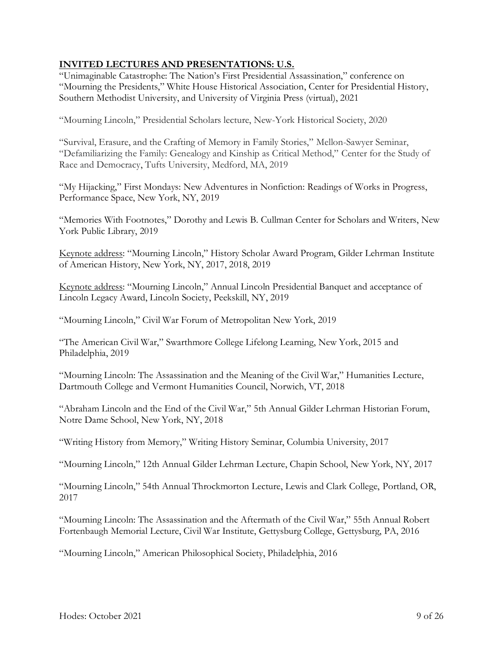# **INVITED LECTURES AND PRESENTATIONS: U.S.**

"Unimaginable Catastrophe: The Nation's First Presidential Assassination," conference on "Mourning the Presidents," White House Historical Association, Center for Presidential History, Southern Methodist University, and University of Virginia Press (virtual), 2021

"Mourning Lincoln," Presidential Scholars lecture, New-York Historical Society, 2020

"Survival, Erasure, and the Crafting of Memory in Family Stories," Mellon-Sawyer Seminar, "Defamiliarizing the Family: Genealogy and Kinship as Critical Method," Center for the Study of Race and Democracy, Tufts University, Medford, MA, 2019

"My Hijacking," First Mondays: New Adventures in Nonfiction: Readings of Works in Progress, Performance Space, New York, NY, 2019

"Memories With Footnotes," Dorothy and Lewis B. Cullman Center for Scholars and Writers, New York Public Library, 2019

Keynote address: "Mourning Lincoln," History Scholar Award Program, Gilder Lehrman Institute of American History, New York, NY, 2017, 2018, 2019

Keynote address: "Mourning Lincoln," Annual Lincoln Presidential Banquet and acceptance of Lincoln Legacy Award, Lincoln Society, Peekskill, NY, 2019

"Mourning Lincoln," Civil War Forum of Metropolitan New York, 2019

"The American Civil War," Swarthmore College Lifelong Learning, New York, 2015 and Philadelphia, 2019

"Mourning Lincoln: The Assassination and the Meaning of the Civil War," Humanities Lecture, Dartmouth College and Vermont Humanities Council, Norwich, VT, 2018

"Abraham Lincoln and the End of the Civil War," 5th Annual Gilder Lehrman Historian Forum, Notre Dame School, New York, NY, 2018

"Writing History from Memory," Writing History Seminar, Columbia University, 2017

"Mourning Lincoln," 12th Annual Gilder Lehrman Lecture, Chapin School, New York, NY, 2017

"Mourning Lincoln," 54th Annual Throckmorton Lecture, Lewis and Clark College, Portland, OR, 2017

"Mourning Lincoln: The Assassination and the Aftermath of the Civil War," 55th Annual Robert Fortenbaugh Memorial Lecture, Civil War Institute, Gettysburg College, Gettysburg, PA, 2016

"Mourning Lincoln," American Philosophical Society, Philadelphia, 2016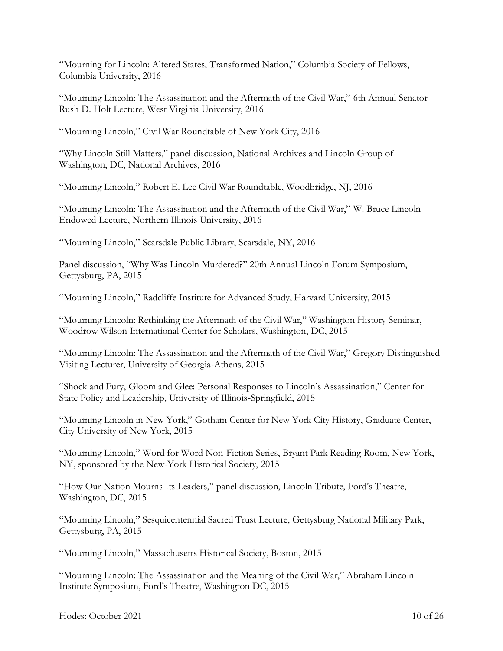"Mourning for Lincoln: Altered States, Transformed Nation," Columbia Society of Fellows, Columbia University, 2016

"Mourning Lincoln: The Assassination and the Aftermath of the Civil War," 6th Annual Senator Rush D. Holt Lecture, West Virginia University, 2016

"Mourning Lincoln," Civil War Roundtable of New York City, 2016

"Why Lincoln Still Matters," panel discussion, National Archives and Lincoln Group of Washington, DC, National Archives, 2016

"Mourning Lincoln," Robert E. Lee Civil War Roundtable, Woodbridge, NJ, 2016

"Mourning Lincoln: The Assassination and the Aftermath of the Civil War," W. Bruce Lincoln Endowed Lecture, Northern Illinois University, 2016

"Mourning Lincoln," Scarsdale Public Library, Scarsdale, NY, 2016

Panel discussion, "Why Was Lincoln Murdered?" 20th Annual Lincoln Forum Symposium, Gettysburg, PA, 2015

"Mourning Lincoln," Radcliffe Institute for Advanced Study, Harvard University, 2015

"Mourning Lincoln: Rethinking the Aftermath of the Civil War," Washington History Seminar, Woodrow Wilson International Center for Scholars, Washington, DC, 2015

"Mourning Lincoln: The Assassination and the Aftermath of the Civil War," Gregory Distinguished Visiting Lecturer, University of Georgia-Athens, 2015

"Shock and Fury, Gloom and Glee: Personal Responses to Lincoln's Assassination," Center for State Policy and Leadership, University of Illinois-Springfield, 2015

"Mourning Lincoln in New York," Gotham Center for New York City History, Graduate Center, City University of New York, 2015

"Mourning Lincoln," Word for Word Non-Fiction Series, Bryant Park Reading Room, New York, NY, sponsored by the New-York Historical Society, 2015

"How Our Nation Mourns Its Leaders," panel discussion, Lincoln Tribute, Ford's Theatre, Washington, DC, 2015

"Mourning Lincoln," Sesquicentennial Sacred Trust Lecture, Gettysburg National Military Park, Gettysburg, PA, 2015

"Mourning Lincoln," Massachusetts Historical Society, Boston, 2015

"Mourning Lincoln: The Assassination and the Meaning of the Civil War," Abraham Lincoln Institute Symposium, Ford's Theatre, Washington DC, 2015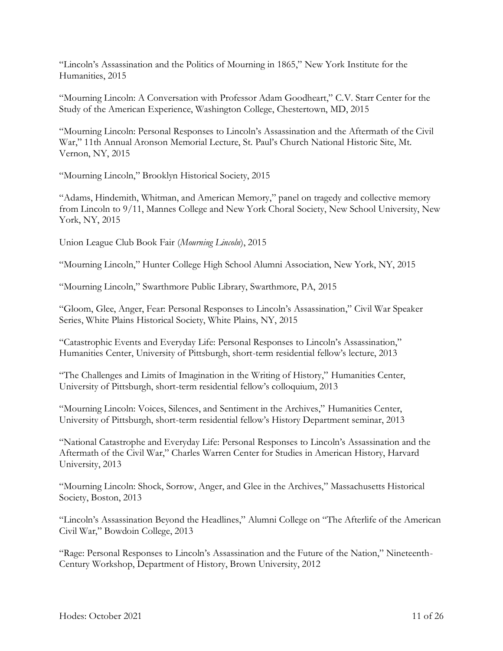"Lincoln's Assassination and the Politics of Mourning in 1865," New York Institute for the Humanities, 2015

"Mourning Lincoln: A Conversation with Professor Adam Goodheart," C.V. Starr Center for the Study of the American Experience, Washington College, Chestertown, MD, 2015

"Mourning Lincoln: Personal Responses to Lincoln's Assassination and the Aftermath of the Civil War," 11th Annual Aronson Memorial Lecture, St. Paul's Church National Historic Site, Mt. Vernon, NY, 2015

"Mourning Lincoln," Brooklyn Historical Society, 2015

"Adams, Hindemith, Whitman, and American Memory," panel on tragedy and collective memory from Lincoln to 9/11, Mannes College and New York Choral Society, New School University, New York, NY, 2015

Union League Club Book Fair (*Mourning Lincoln*), 2015

"Mourning Lincoln," Hunter College High School Alumni Association, New York, NY, 2015

"Mourning Lincoln," Swarthmore Public Library, Swarthmore, PA, 2015

"Gloom, Glee, Anger, Fear: Personal Responses to Lincoln's Assassination," Civil War Speaker Series, White Plains Historical Society, White Plains, NY, 2015

"Catastrophic Events and Everyday Life: Personal Responses to Lincoln's Assassination," Humanities Center, University of Pittsburgh, short-term residential fellow's lecture, 2013

"The Challenges and Limits of Imagination in the Writing of History," Humanities Center, University of Pittsburgh, short-term residential fellow's colloquium, 2013

"Mourning Lincoln: Voices, Silences, and Sentiment in the Archives," Humanities Center, University of Pittsburgh, short-term residential fellow's History Department seminar, 2013

"National Catastrophe and Everyday Life: Personal Responses to Lincoln's Assassination and the Aftermath of the Civil War," Charles Warren Center for Studies in American History, Harvard University, 2013

"Mourning Lincoln: Shock, Sorrow, Anger, and Glee in the Archives," Massachusetts Historical Society, Boston, 2013

"Lincoln's Assassination Beyond the Headlines," Alumni College on "The Afterlife of the American Civil War," Bowdoin College, 2013

"Rage: Personal Responses to Lincoln's Assassination and the Future of the Nation," Nineteenth-Century Workshop, Department of History, Brown University, 2012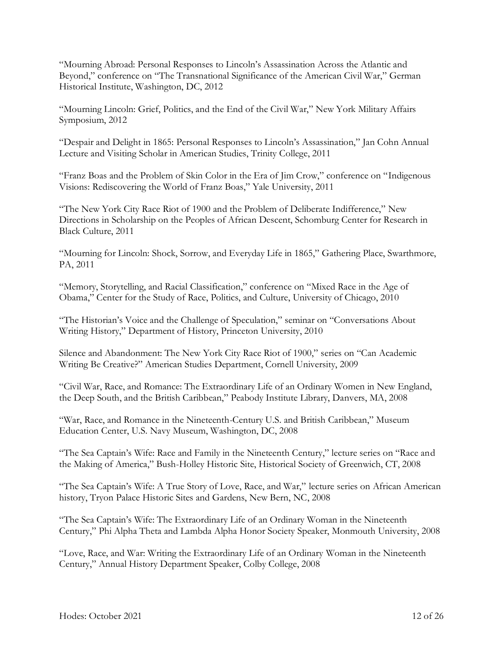"Mourning Abroad: Personal Responses to Lincoln's Assassination Across the Atlantic and Beyond," conference on "The Transnational Significance of the American Civil War," German Historical Institute, Washington, DC, 2012

"Mourning Lincoln: Grief, Politics, and the End of the Civil War," New York Military Affairs Symposium, 2012

"Despair and Delight in 1865: Personal Responses to Lincoln's Assassination," Jan Cohn Annual Lecture and Visiting Scholar in American Studies, Trinity College, 2011

"Franz Boas and the Problem of Skin Color in the Era of Jim Crow," conference on "Indigenous Visions: Rediscovering the World of Franz Boas," Yale University, 2011

"The New York City Race Riot of 1900 and the Problem of Deliberate Indifference," New Directions in Scholarship on the Peoples of African Descent, Schomburg Center for Research in Black Culture, 2011

"Mourning for Lincoln: Shock, Sorrow, and Everyday Life in 1865," Gathering Place, Swarthmore, PA, 2011

"Memory, Storytelling, and Racial Classification," conference on "Mixed Race in the Age of Obama," Center for the Study of Race, Politics, and Culture, University of Chicago, 2010

"The Historian's Voice and the Challenge of Speculation," seminar on "Conversations About Writing History," Department of History, Princeton University, 2010

Silence and Abandonment: The New York City Race Riot of 1900," series on "Can Academic Writing Be Creative?" American Studies Department, Cornell University, 2009

"Civil War, Race, and Romance: The Extraordinary Life of an Ordinary Women in New England, the Deep South, and the British Caribbean," Peabody Institute Library, Danvers, MA, 2008

"War, Race, and Romance in the Nineteenth-Century U.S. and British Caribbean," Museum Education Center, U.S. Navy Museum, Washington, DC, 2008

"The Sea Captain's Wife: Race and Family in the Nineteenth Century," lecture series on "Race and the Making of America," Bush-Holley Historic Site, Historical Society of Greenwich, CT, 2008

"The Sea Captain's Wife: A True Story of Love, Race, and War," lecture series on African American history, Tryon Palace Historic Sites and Gardens, New Bern, NC, 2008

"The Sea Captain's Wife: The Extraordinary Life of an Ordinary Woman in the Nineteenth Century," Phi Alpha Theta and Lambda Alpha Honor Society Speaker, Monmouth University, 2008

"Love, Race, and War: Writing the Extraordinary Life of an Ordinary Woman in the Nineteenth Century," Annual History Department Speaker, Colby College, 2008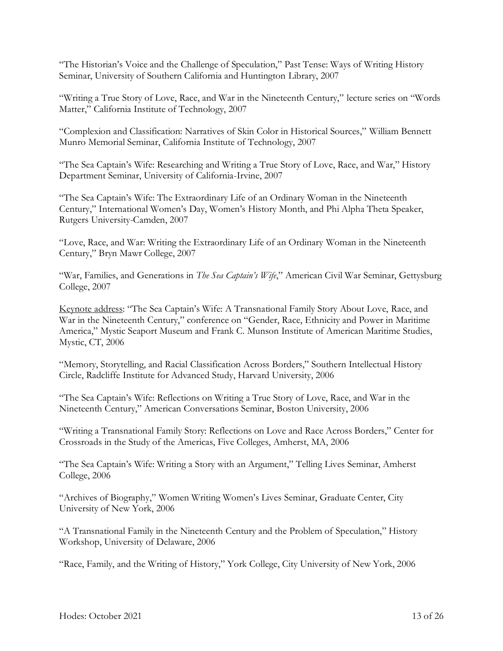"The Historian's Voice and the Challenge of Speculation," Past Tense: Ways of Writing History Seminar, University of Southern California and Huntington Library, 2007

"Writing a True Story of Love, Race, and War in the Nineteenth Century," lecture series on "Words Matter," California Institute of Technology, 2007

"Complexion and Classification: Narratives of Skin Color in Historical Sources," William Bennett Munro Memorial Seminar, California Institute of Technology, 2007

"The Sea Captain's Wife: Researching and Writing a True Story of Love, Race, and War," History Department Seminar, University of California-Irvine, 2007

"The Sea Captain's Wife: The Extraordinary Life of an Ordinary Woman in the Nineteenth Century," International Women's Day, Women's History Month, and Phi Alpha Theta Speaker, Rutgers University-Camden, 2007

"Love, Race, and War: Writing the Extraordinary Life of an Ordinary Woman in the Nineteenth Century," Bryn Mawr College, 2007

"War, Families, and Generations in *The Sea Captain's Wife*," American Civil War Seminar, Gettysburg College, 2007

Keynote address: "The Sea Captain's Wife: A Transnational Family Story About Love, Race, and War in the Nineteenth Century," conference on "Gender, Race, Ethnicity and Power in Maritime America," Mystic Seaport Museum and Frank C. Munson Institute of American Maritime Studies, Mystic, CT, 2006

"Memory, Storytelling, and Racial Classification Across Borders," Southern Intellectual History Circle, Radcliffe Institute for Advanced Study, Harvard University, 2006

"The Sea Captain's Wife: Reflections on Writing a True Story of Love, Race, and War in the Nineteenth Century," American Conversations Seminar, Boston University, 2006

"Writing a Transnational Family Story: Reflections on Love and Race Across Borders," Center for Crossroads in the Study of the Americas, Five Colleges, Amherst, MA, 2006

"The Sea Captain's Wife: Writing a Story with an Argument," Telling Lives Seminar, Amherst College, 2006

"Archives of Biography," Women Writing Women's Lives Seminar, Graduate Center, City University of New York, 2006

"A Transnational Family in the Nineteenth Century and the Problem of Speculation," History Workshop, University of Delaware, 2006

"Race, Family, and the Writing of History," York College, City University of New York, 2006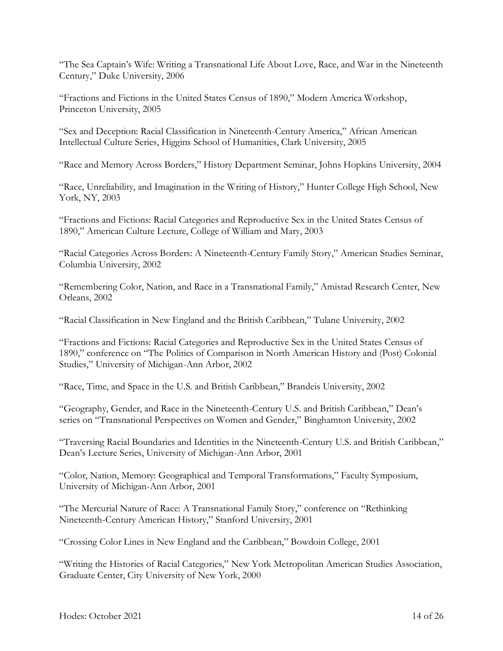"The Sea Captain's Wife: Writing a Transnational Life About Love, Race, and War in the Nineteenth Century," Duke University, 2006

"Fractions and Fictions in the United States Census of 1890," Modern America Workshop, Princeton University, 2005

"Sex and Deception: Racial Classification in Nineteenth-Century America," African American Intellectual Culture Series, Higgins School of Humanities, Clark University, 2005

"Race and Memory Across Borders," History Department Seminar, Johns Hopkins University, 2004

"Race, Unreliability, and Imagination in the Writing of History," Hunter College High School, New York, NY, 2003

"Fractions and Fictions: Racial Categories and Reproductive Sex in the United States Census of 1890," American Culture Lecture, College of William and Mary, 2003

"Racial Categories Across Borders: A Nineteenth-Century Family Story," American Studies Seminar, Columbia University, 2002

"Remembering Color, Nation, and Race in a Transnational Family," Amistad Research Center, New Orleans, 2002

"Racial Classification in New England and the British Caribbean," Tulane University, 2002

"Fractions and Fictions: Racial Categories and Reproductive Sex in the United States Census of 1890," conference on "The Politics of Comparison in North American History and (Post) Colonial Studies," University of Michigan-Ann Arbor, 2002

"Race, Time, and Space in the U.S. and British Caribbean," Brandeis University, 2002

"Geography, Gender, and Race in the Nineteenth-Century U.S. and British Caribbean," Dean's series on "Transnational Perspectives on Women and Gender," Binghamton University, 2002

"Traversing Racial Boundaries and Identities in the Nineteenth-Century U.S. and British Caribbean," Dean's Lecture Series, University of Michigan-Ann Arbor, 2001

"Color, Nation, Memory: Geographical and Temporal Transformations," Faculty Symposium, University of Michigan-Ann Arbor, 2001

"The Mercurial Nature of Race: A Transnational Family Story," conference on "Rethinking Nineteenth-Century American History," Stanford University, 2001

"Crossing Color Lines in New England and the Caribbean," Bowdoin College, 2001

"Writing the Histories of Racial Categories," New York Metropolitan American Studies Association, Graduate Center, City University of New York, 2000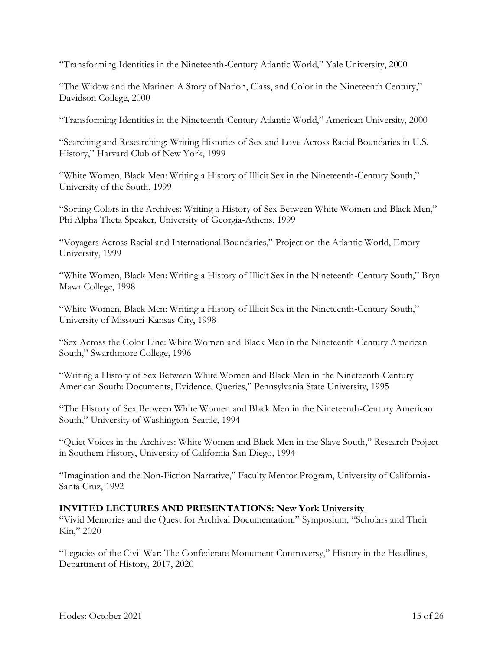"Transforming Identities in the Nineteenth-Century Atlantic World," Yale University, 2000

"The Widow and the Mariner: A Story of Nation, Class, and Color in the Nineteenth Century," Davidson College, 2000

"Transforming Identities in the Nineteenth-Century Atlantic World," American University, 2000

"Searching and Researching: Writing Histories of Sex and Love Across Racial Boundaries in U.S. History," Harvard Club of New York, 1999

"White Women, Black Men: Writing a History of Illicit Sex in the Nineteenth-Century South," University of the South, 1999

"Sorting Colors in the Archives: Writing a History of Sex Between White Women and Black Men," Phi Alpha Theta Speaker, University of Georgia-Athens, 1999

"Voyagers Across Racial and International Boundaries," Project on the Atlantic World, Emory University, 1999

"White Women, Black Men: Writing a History of Illicit Sex in the Nineteenth-Century South," Bryn Mawr College, 1998

"White Women, Black Men: Writing a History of Illicit Sex in the Nineteenth-Century South," University of Missouri-Kansas City, 1998

"Sex Across the Color Line: White Women and Black Men in the Nineteenth-Century American South," Swarthmore College, 1996

"Writing a History of Sex Between White Women and Black Men in the Nineteenth-Century American South: Documents, Evidence, Queries," Pennsylvania State University, 1995

"The History of Sex Between White Women and Black Men in the Nineteenth-Century American South," University of Washington-Seattle, 1994

"Quiet Voices in the Archives: White Women and Black Men in the Slave South," Research Project in Southern History, University of California-San Diego, 1994

"Imagination and the Non-Fiction Narrative," Faculty Mentor Program, University of California-Santa Cruz, 1992

# **INVITED LECTURES AND PRESENTATIONS: New York University**

"Vivid Memories and the Quest for Archival Documentation," Symposium, "Scholars and Their Kin," 2020

"Legacies of the Civil War: The Confederate Monument Controversy," History in the Headlines, Department of History, 2017, 2020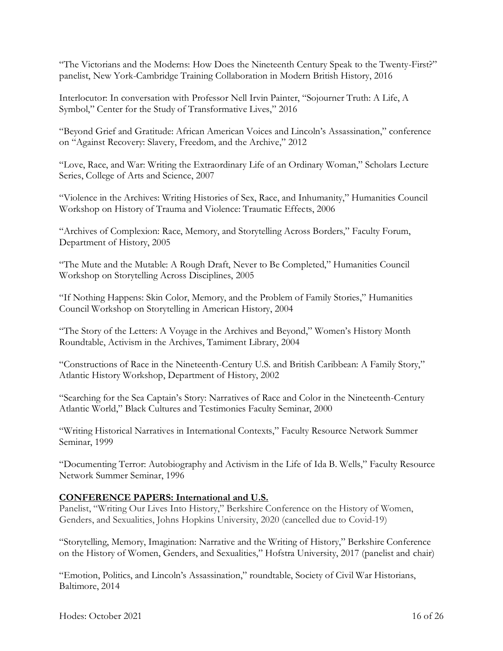"The Victorians and the Moderns: How Does the Nineteenth Century Speak to the Twenty-First?" panelist, New York-Cambridge Training Collaboration in Modern British History, 2016

Interlocutor: In conversation with Professor Nell Irvin Painter, "Sojourner Truth: A Life, A Symbol," Center for the Study of Transformative Lives," 2016

"Beyond Grief and Gratitude: African American Voices and Lincoln's Assassination," conference on "Against Recovery: Slavery, Freedom, and the Archive," 2012

"Love, Race, and War: Writing the Extraordinary Life of an Ordinary Woman," Scholars Lecture Series, College of Arts and Science, 2007

"Violence in the Archives: Writing Histories of Sex, Race, and Inhumanity," Humanities Council Workshop on History of Trauma and Violence: Traumatic Effects, 2006

"Archives of Complexion: Race, Memory, and Storytelling Across Borders," Faculty Forum, Department of History, 2005

"The Mute and the Mutable: A Rough Draft, Never to Be Completed," Humanities Council Workshop on Storytelling Across Disciplines, 2005

"If Nothing Happens: Skin Color, Memory, and the Problem of Family Stories," Humanities Council Workshop on Storytelling in American History, 2004

"The Story of the Letters: A Voyage in the Archives and Beyond," Women's History Month Roundtable, Activism in the Archives, Tamiment Library, 2004

"Constructions of Race in the Nineteenth-Century U.S. and British Caribbean: A Family Story," Atlantic History Workshop, Department of History, 2002

"Searching for the Sea Captain's Story: Narratives of Race and Color in the Nineteenth-Century Atlantic World," Black Cultures and Testimonies Faculty Seminar, 2000

"Writing Historical Narratives in International Contexts," Faculty Resource Network Summer Seminar, 1999

"Documenting Terror: Autobiography and Activism in the Life of Ida B. Wells," Faculty Resource Network Summer Seminar, 1996

# **CONFERENCE PAPERS: International and U.S.**

Panelist, "Writing Our Lives Into History," Berkshire Conference on the History of Women, Genders, and Sexualities, Johns Hopkins University, 2020 (cancelled due to Covid-19)

"Storytelling, Memory, Imagination: Narrative and the Writing of History," Berkshire Conference on the History of Women, Genders, and Sexualities," Hofstra University, 2017 (panelist and chair)

"Emotion, Politics, and Lincoln's Assassination," roundtable, Society of Civil War Historians, Baltimore, 2014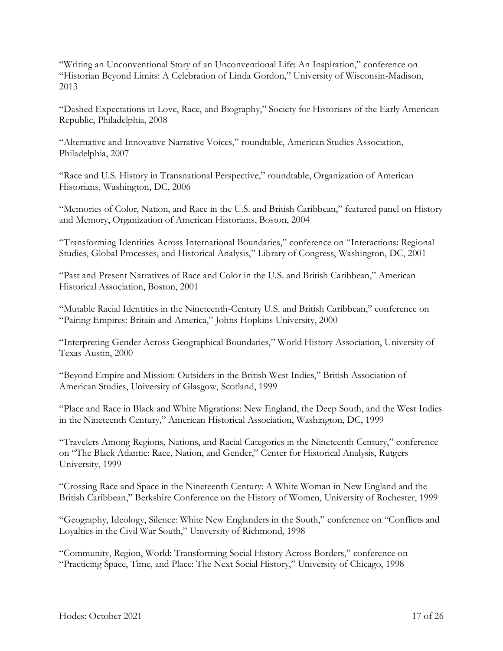"Writing an Unconventional Story of an Unconventional Life: An Inspiration," conference on "Historian Beyond Limits: A Celebration of Linda Gordon," University of Wisconsin-Madison, 2013

"Dashed Expectations in Love, Race, and Biography," Society for Historians of the Early American Republic, Philadelphia, 2008

"Alternative and Innovative Narrative Voices," roundtable, American Studies Association, Philadelphia, 2007

"Race and U.S. History in Transnational Perspective," roundtable, Organization of American Historians, Washington, DC, 2006

"Memories of Color, Nation, and Race in the U.S. and British Caribbean," featured panel on History and Memory, Organization of American Historians, Boston, 2004

"Transforming Identities Across International Boundaries," conference on "Interactions: Regional Studies, Global Processes, and Historical Analysis," Library of Congress, Washington, DC, 2001

"Past and Present Narratives of Race and Color in the U.S. and British Caribbean," American Historical Association, Boston, 2001

"Mutable Racial Identities in the Nineteenth-Century U.S. and British Caribbean," conference on "Pairing Empires: Britain and America," Johns Hopkins University, 2000

"Interpreting Gender Across Geographical Boundaries," World History Association, University of Texas-Austin, 2000

"Beyond Empire and Mission: Outsiders in the British West Indies," British Association of American Studies, University of Glasgow, Scotland, 1999

"Place and Race in Black and White Migrations: New England, the Deep South, and the West Indies in the Nineteenth Century," American Historical Association, Washington, DC, 1999

"Travelers Among Regions, Nations, and Racial Categories in the Nineteenth Century," conference on "The Black Atlantic: Race, Nation, and Gender," Center for Historical Analysis, Rutgers University, 1999

"Crossing Race and Space in the Nineteenth Century: A White Woman in New England and the British Caribbean," Berkshire Conference on the History of Women, University of Rochester, 1999

"Geography, Ideology, Silence: White New Englanders in the South," conference on "Conflicts and Loyalties in the Civil War South," University of Richmond, 1998

"Community, Region, World: Transforming Social History Across Borders," conference on "Practicing Space, Time, and Place: The Next Social History," University of Chicago, 1998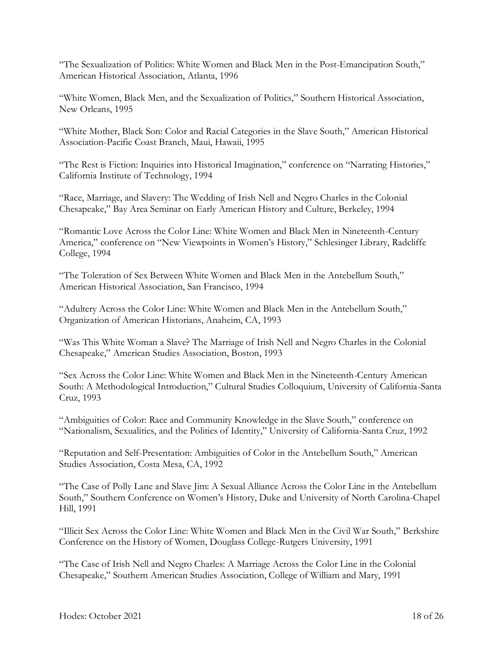"The Sexualization of Politics: White Women and Black Men in the Post-Emancipation South," American Historical Association, Atlanta, 1996

"White Women, Black Men, and the Sexualization of Politics," Southern Historical Association, New Orleans, 1995

"White Mother, Black Son: Color and Racial Categories in the Slave South," American Historical Association-Pacific Coast Branch, Maui, Hawaii, 1995

"The Rest is Fiction: Inquiries into Historical Imagination," conference on "Narrating Histories," California Institute of Technology, 1994

"Race, Marriage, and Slavery: The Wedding of Irish Nell and Negro Charles in the Colonial Chesapeake," Bay Area Seminar on Early American History and Culture, Berkeley, 1994

"Romantic Love Across the Color Line: White Women and Black Men in Nineteenth-Century America," conference on "New Viewpoints in Women's History," Schlesinger Library, Radcliffe College, 1994

"The Toleration of Sex Between White Women and Black Men in the Antebellum South," American Historical Association, San Francisco, 1994

"Adultery Across the Color Line: White Women and Black Men in the Antebellum South," Organization of American Historians, Anaheim, CA, 1993

"Was This White Woman a Slave? The Marriage of Irish Nell and Negro Charles in the Colonial Chesapeake," American Studies Association, Boston, 1993

"Sex Across the Color Line: White Women and Black Men in the Nineteenth-Century American South: A Methodological Introduction," Cultural Studies Colloquium, University of California-Santa Cruz, 1993

"Ambiguities of Color: Race and Community Knowledge in the Slave South," conference on "Nationalism, Sexualities, and the Politics of Identity," University of California-Santa Cruz, 1992

"Reputation and Self-Presentation: Ambiguities of Color in the Antebellum South," American Studies Association, Costa Mesa, CA, 1992

"The Case of Polly Lane and Slave Jim: A Sexual Alliance Across the Color Line in the Antebellum South," Southern Conference on Women's History, Duke and University of North Carolina-Chapel Hill, 1991

"Illicit Sex Across the Color Line: White Women and Black Men in the Civil War South," Berkshire Conference on the History of Women, Douglass College-Rutgers University, 1991

"The Case of Irish Nell and Negro Charles: A Marriage Across the Color Line in the Colonial Chesapeake," Southern American Studies Association, College of William and Mary, 1991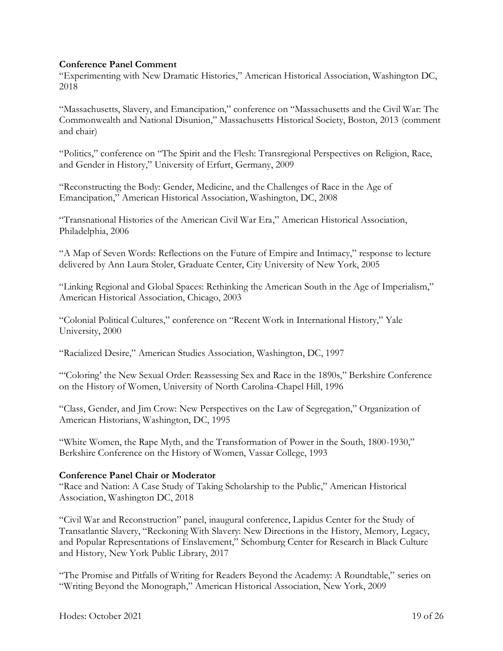## **Conference Panel Comment**

"Experimenting with New Dramatic Histories," American Historical Association, Washington DC, 2018

"Massachusetts, Slavery, and Emancipation," conference on "Massachusetts and the Civil War: The Commonwealth and National Disunion," Massachusetts Historical Society, Boston, 2013 (comment and chair)

"Politics," conference on "The Spirit and the Flesh: Transregional Perspectives on Religion, Race, and Gender in History," University of Erfurt, Germany, 2009

"Reconstructing the Body: Gender, Medicine, and the Challenges of Race in the Age of Emancipation," American Historical Association, Washington, DC, 2008

"Transnational Histories of the American Civil War Era," American Historical Association, Philadelphia, 2006

"A Map of Seven Words: Reflections on the Future of Empire and Intimacy," response to lecture delivered by Ann Laura Stoler, Graduate Center, City University of New York, 2005

"Linking Regional and Global Spaces: Rethinking the American South in the Age of Imperialism," American Historical Association, Chicago, 2003

"Colonial Political Cultures," conference on "Recent Work in International History," Yale University, 2000

"Racialized Desire," American Studies Association, Washington, DC, 1997

"'Coloring' the New Sexual Order: Reassessing Sex and Race in the 1890s," Berkshire Conference on the History of Women, University of North Carolina-Chapel Hill, 1996

"Class, Gender, and Jim Crow: New Perspectives on the Law of Segregation," Organization of American Historians, Washington, DC, 1995

"White Women, the Rape Myth, and the Transformation of Power in the South, 1800-1930," Berkshire Conference on the History of Women, Vassar College, 1993

### **Conference Panel Chair or Moderator**

"Race and Nation: A Case Study of Taking Scholarship to the Public," American Historical Association, Washington DC, 2018

"Civil War and Reconstruction" panel, inaugural conference, Lapidus Center for the Study of Transatlantic Slavery, "Reckoning With Slavery: New Directions in the History, Memory, Legacy, and Popular Representations of Enslavement," Schomburg Center for Research in Black Culture and History, New York Public Library, 2017

"The Promise and Pitfalls of Writing for Readers Beyond the Academy: A Roundtable," series on "Writing Beyond the Monograph," American Historical Association, New York, 2009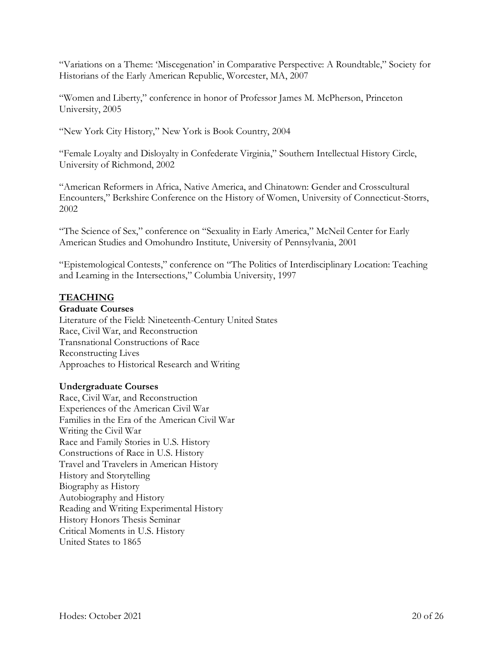"Variations on a Theme: 'Miscegenation' in Comparative Perspective: A Roundtable," Society for Historians of the Early American Republic, Worcester, MA, 2007

"Women and Liberty," conference in honor of Professor James M. McPherson, Princeton University, 2005

"New York City History," New York is Book Country, 2004

"Female Loyalty and Disloyalty in Confederate Virginia," Southern Intellectual History Circle, University of Richmond, 2002

"American Reformers in Africa, Native America, and Chinatown: Gender and Crosscultural Encounters," Berkshire Conference on the History of Women, University of Connecticut-Storrs, 2002

"The Science of Sex," conference on "Sexuality in Early America," McNeil Center for Early American Studies and Omohundro Institute, University of Pennsylvania, 2001

"Epistemological Contests," conference on "The Politics of Interdisciplinary Location: Teaching and Learning in the Intersections," Columbia University, 1997

# **TEACHING**

### **Graduate Courses**

Literature of the Field: Nineteenth-Century United States Race, Civil War, and Reconstruction Transnational Constructions of Race Reconstructing Lives Approaches to Historical Research and Writing

# **Undergraduate Courses**

Race, Civil War, and Reconstruction Experiences of the American Civil War Families in the Era of the American Civil War Writing the Civil War Race and Family Stories in U.S. History Constructions of Race in U.S. History Travel and Travelers in American History History and Storytelling Biography as History Autobiography and History Reading and Writing Experimental History History Honors Thesis Seminar Critical Moments in U.S. History United States to 1865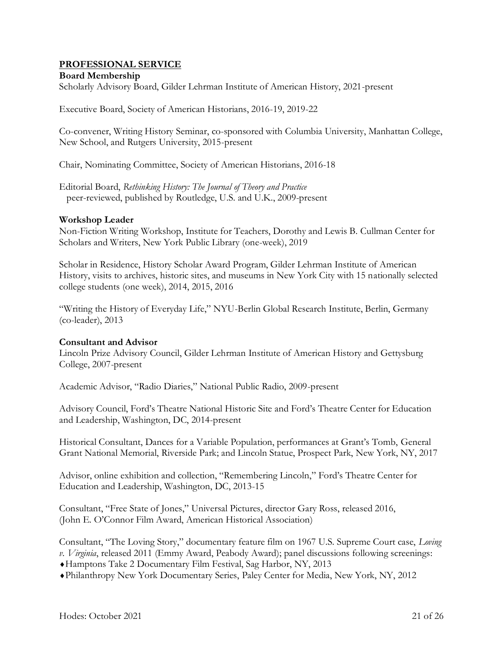# **PROFESSIONAL SERVICE**

### **Board Membership**

Scholarly Advisory Board, Gilder Lehrman Institute of American History, 2021-present

Executive Board, Society of American Historians, 2016-19, 2019-22

Co-convener, Writing History Seminar, co-sponsored with Columbia University, Manhattan College, New School, and Rutgers University, 2015-present

Chair, Nominating Committee, Society of American Historians, 2016-18

Editorial Board, *Rethinking History: The Journal of Theory and Practice* peer-reviewed, published by Routledge, U.S. and U.K., 2009-present

### **Workshop Leader**

Non-Fiction Writing Workshop, Institute for Teachers, Dorothy and Lewis B. Cullman Center for Scholars and Writers, New York Public Library (one-week), 2019

Scholar in Residence, History Scholar Award Program, Gilder Lehrman Institute of American History, visits to archives, historic sites, and museums in New York City with 15 nationally selected college students (one week), 2014, 2015, 2016

"Writing the History of Everyday Life," NYU-Berlin Global Research Institute, Berlin, Germany (co-leader), 2013

### **Consultant and Advisor**

Lincoln Prize Advisory Council, Gilder Lehrman Institute of American History and Gettysburg College, 2007-present

Academic Advisor, "Radio Diaries," National Public Radio, 2009-present

Advisory Council, Ford's Theatre National Historic Site and Ford's Theatre Center for Education and Leadership, Washington, DC, 2014-present

Historical Consultant, Dances for a Variable Population, performances at Grant's Tomb, General Grant National Memorial, Riverside Park; and Lincoln Statue, Prospect Park, New York, NY, 2017

Advisor, online exhibition and collection, "Remembering Lincoln," Ford's Theatre Center for Education and Leadership, Washington, DC, 2013-15

Consultant, "Free State of Jones," Universal Pictures, director Gary Ross, released 2016, (John E. O'Connor Film Award, American Historical Association)

Consultant, "The Loving Story," documentary feature film on 1967 U.S. Supreme Court case, *Loving v. Virginia*, released 2011 (Emmy Award, Peabody Award); panel discussions following screenings:

Hamptons Take 2 Documentary Film Festival, Sag Harbor, NY, 2013

Philanthropy New York Documentary Series, Paley Center for Media, New York, NY, 2012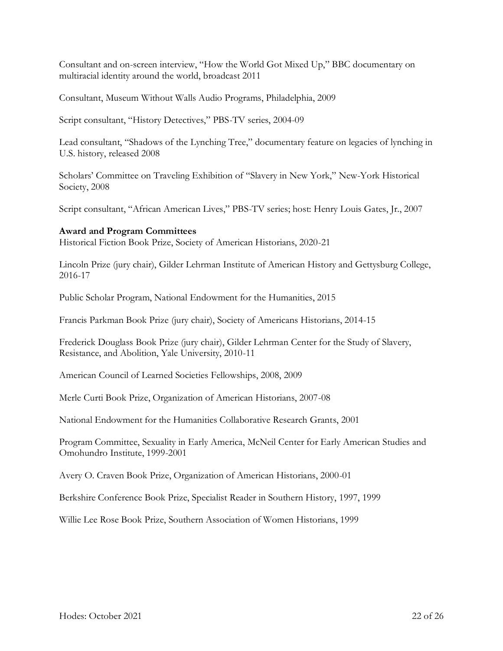Consultant and on-screen interview, "How the World Got Mixed Up," BBC documentary on multiracial identity around the world, broadcast 2011

Consultant, Museum Without Walls Audio Programs, Philadelphia, 2009

Script consultant, "History Detectives," PBS-TV series, 2004-09

Lead consultant, "Shadows of the Lynching Tree," documentary feature on legacies of lynching in U.S. history, released 2008

Scholars' Committee on Traveling Exhibition of "Slavery in New York," New-York Historical Society, 2008

Script consultant, "African American Lives," PBS-TV series; host: Henry Louis Gates, Jr., 2007

### **Award and Program Committees**

Historical Fiction Book Prize, Society of American Historians, 2020-21

Lincoln Prize (jury chair), Gilder Lehrman Institute of American History and Gettysburg College, 2016-17

Public Scholar Program, National Endowment for the Humanities, 2015

Francis Parkman Book Prize (jury chair), Society of Americans Historians, 2014-15

Frederick Douglass Book Prize (jury chair), Gilder Lehrman Center for the Study of Slavery, Resistance, and Abolition, Yale University, 2010-11

American Council of Learned Societies Fellowships, 2008, 2009

Merle Curti Book Prize, Organization of American Historians, 2007-08

National Endowment for the Humanities Collaborative Research Grants, 2001

Program Committee, Sexuality in Early America, McNeil Center for Early American Studies and Omohundro Institute, 1999-2001

Avery O. Craven Book Prize, Organization of American Historians, 2000-01

Berkshire Conference Book Prize, Specialist Reader in Southern History, 1997, 1999

Willie Lee Rose Book Prize, Southern Association of Women Historians, 1999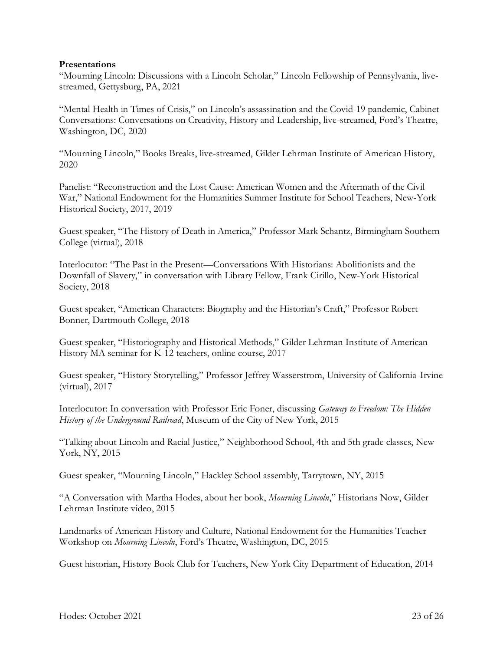## **Presentations**

"Mourning Lincoln: Discussions with a Lincoln Scholar," Lincoln Fellowship of Pennsylvania, livestreamed, Gettysburg, PA, 2021

"Mental Health in Times of Crisis," on Lincoln's assassination and the Covid-19 pandemic, Cabinet Conversations: Conversations on Creativity, History and Leadership, live-streamed, Ford's Theatre, Washington, DC, 2020

"Mourning Lincoln," Books Breaks, live-streamed, Gilder Lehrman Institute of American History, 2020

Panelist: "Reconstruction and the Lost Cause: American Women and the Aftermath of the Civil War," National Endowment for the Humanities Summer Institute for School Teachers, New-York Historical Society, 2017, 2019

Guest speaker, "The History of Death in America," Professor Mark Schantz, Birmingham Southern College (virtual), 2018

Interlocutor: "The Past in the Present—Conversations With Historians: Abolitionists and the Downfall of Slavery," in conversation with Library Fellow, Frank Cirillo, New-York Historical Society, 2018

Guest speaker, "American Characters: Biography and the Historian's Craft," Professor Robert Bonner, Dartmouth College, 2018

Guest speaker, "Historiography and Historical Methods," Gilder Lehrman Institute of American History MA seminar for K-12 teachers, online course, 2017

Guest speaker, "History Storytelling," Professor Jeffrey Wasserstrom, University of California-Irvine (virtual), 2017

Interlocutor: In conversation with Professor Eric Foner, discussing *Gateway to Freedom: The Hidden History of the Underground Railroad*, Museum of the City of New York, 2015

"Talking about Lincoln and Racial Justice," Neighborhood School, 4th and 5th grade classes, New York, NY, 2015

Guest speaker, "Mourning Lincoln," Hackley School assembly, Tarrytown, NY, 2015

"A Conversation with Martha Hodes, about her book, *Mourning Lincoln*," Historians Now, Gilder Lehrman Institute video, 2015

Landmarks of American History and Culture, National Endowment for the Humanities Teacher Workshop on *Mourning Lincoln*, Ford's Theatre, Washington, DC, 2015

Guest historian, History Book Club for Teachers, New York City Department of Education, 2014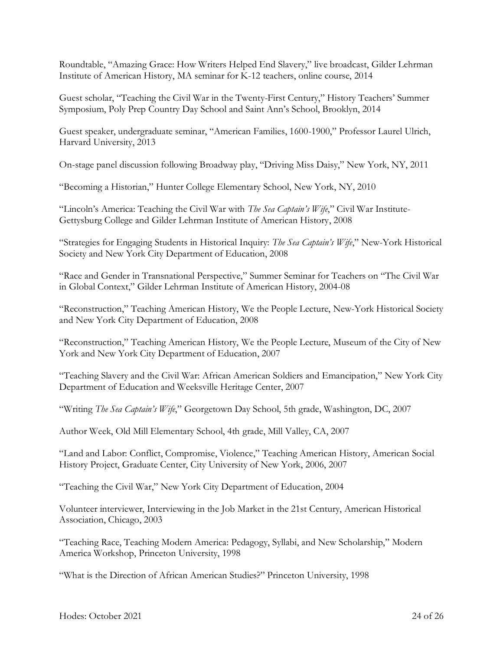Roundtable, "Amazing Grace: How Writers Helped End Slavery," live broadcast, Gilder Lehrman Institute of American History, MA seminar for K-12 teachers, online course, 2014

Guest scholar, "Teaching the Civil War in the Twenty-First Century," History Teachers' Summer Symposium, Poly Prep Country Day School and Saint Ann's School, Brooklyn, 2014

Guest speaker, undergraduate seminar, "American Families, 1600-1900," Professor Laurel Ulrich, Harvard University, 2013

On-stage panel discussion following Broadway play, "Driving Miss Daisy," New York, NY, 2011

"Becoming a Historian," Hunter College Elementary School, New York, NY, 2010

"Lincoln's America: Teaching the Civil War with *The Sea Captain's Wife*," Civil War Institute-Gettysburg College and Gilder Lehrman Institute of American History, 2008

"Strategies for Engaging Students in Historical Inquiry: *The Sea Captain's Wife*," New-York Historical Society and New York City Department of Education, 2008

"Race and Gender in Transnational Perspective," Summer Seminar for Teachers on "The Civil War in Global Context," Gilder Lehrman Institute of American History, 2004-08

"Reconstruction," Teaching American History, We the People Lecture, New-York Historical Society and New York City Department of Education, 2008

"Reconstruction," Teaching American History, We the People Lecture, Museum of the City of New York and New York City Department of Education, 2007

"Teaching Slavery and the Civil War: African American Soldiers and Emancipation," New York City Department of Education and Weeksville Heritage Center, 2007

"Writing *The Sea Captain's Wife*," Georgetown Day School, 5th grade, Washington, DC, 2007

Author Week, Old Mill Elementary School, 4th grade, Mill Valley, CA, 2007

"Land and Labor: Conflict, Compromise, Violence," Teaching American History, American Social History Project, Graduate Center, City University of New York, 2006, 2007

"Teaching the Civil War," New York City Department of Education, 2004

Volunteer interviewer, Interviewing in the Job Market in the 21st Century, American Historical Association, Chicago, 2003

"Teaching Race, Teaching Modern America: Pedagogy, Syllabi, and New Scholarship," Modern America Workshop, Princeton University, 1998

"What is the Direction of African American Studies?" Princeton University, 1998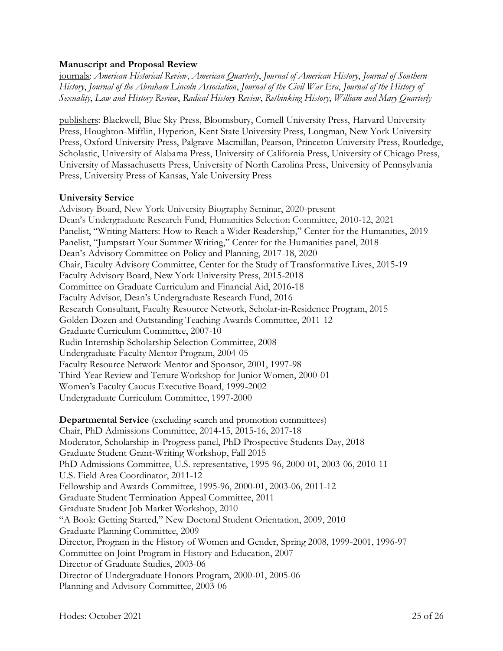# **Manuscript and Proposal Review**

journals: *American Historical Review*, *American Quarterly*, *Journal of American History*, *Journal of Southern History*, *Journal of the Abraham Lincoln Association*, *Journal of the Civil War Era*, *Journal of the History of Sexuality*, *Law and History Review*, *Radical History Review*, *Rethinking History*, *William and Mary Quarterly*

publishers: Blackwell, Blue Sky Press, Bloomsbury, Cornell University Press, Harvard University Press, Houghton-Mifflin, Hyperion, Kent State University Press, Longman, New York University Press, Oxford University Press, Palgrave-Macmillan, Pearson, Princeton University Press, Routledge, Scholastic, University of Alabama Press, University of California Press, University of Chicago Press, University of Massachusetts Press, University of North Carolina Press, University of Pennsylvania Press, University Press of Kansas, Yale University Press

# **University Service**

Advisory Board, New York University Biography Seminar, 2020-present Dean's Undergraduate Research Fund, Humanities Selection Committee, 2010-12, 2021 Panelist, "Writing Matters: How to Reach a Wider Readership," Center for the Humanities, 2019 Panelist, "Jumpstart Your Summer Writing," Center for the Humanities panel, 2018 Dean's Advisory Committee on Policy and Planning, 2017-18, 2020 Chair, Faculty Advisory Committee, Center for the Study of Transformative Lives, 2015-19 Faculty Advisory Board, New York University Press, 2015-2018 Committee on Graduate Curriculum and Financial Aid, 2016-18 Faculty Advisor, Dean's Undergraduate Research Fund, 2016 Research Consultant, Faculty Resource Network, Scholar-in-Residence Program, 2015 Golden Dozen and Outstanding Teaching Awards Committee, 2011-12 Graduate Curriculum Committee, 2007-10 Rudin Internship Scholarship Selection Committee, 2008 Undergraduate Faculty Mentor Program, 2004-05 Faculty Resource Network Mentor and Sponsor, 2001, 1997-98 Third-Year Review and Tenure Workshop for Junior Women, 2000-01 Women's Faculty Caucus Executive Board, 1999-2002 Undergraduate Curriculum Committee, 1997-2000

**Departmental Service** (excluding search and promotion committees) Chair, PhD Admissions Committee, 2014-15, 2015-16, 2017-18 Moderator, Scholarship-in-Progress panel, PhD Prospective Students Day, 2018 Graduate Student Grant-Writing Workshop, Fall 2015 PhD Admissions Committee, U.S. representative, 1995-96, 2000-01, 2003-06, 2010-11 U.S. Field Area Coordinator, 2011-12 Fellowship and Awards Committee, 1995-96, 2000-01, 2003-06, 2011-12 Graduate Student Termination Appeal Committee, 2011 Graduate Student Job Market Workshop, 2010 "A Book: Getting Started," New Doctoral Student Orientation, 2009, 2010 Graduate Planning Committee, 2009 Director, Program in the History of Women and Gender, Spring 2008, 1999-2001, 1996-97 Committee on Joint Program in History and Education, 2007 Director of Graduate Studies, 2003-06 Director of Undergraduate Honors Program, 2000-01, 2005-06 Planning and Advisory Committee, 2003-06